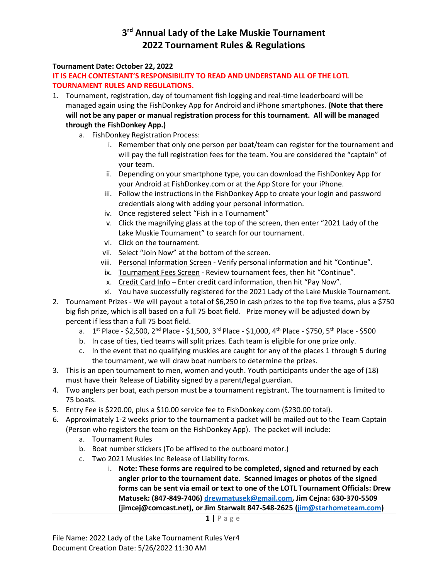### 3<sup>rd</sup> Annual Lady of the Lake Muskie Tournament 2022 Tournament Rules & Regulations

#### Tournament Date: October 22, 2022

#### IT IS EACH CONTESTANT'S RESPONSIBILITY TO READ AND UNDERSTAND ALL OF THE LOTL TOURNAMENT RULES AND REGULATIONS.

- 1. Tournament, registration, day of tournament fish logging and real-time leaderboard will be managed again using the FishDonkey App for Android and iPhone smartphones. (Note that there will not be any paper or manual registration process for this tournament. All will be managed through the FishDonkey App.)
	- a. FishDonkey Registration Process:
		- i. Remember that only one person per boat/team can register for the tournament and will pay the full registration fees for the team. You are considered the "captain" of your team.
		- ii. Depending on your smartphone type, you can download the FishDonkey App for your Android at FishDonkey.com or at the App Store for your iPhone.
		- iii. Follow the instructions in the FishDonkey App to create your login and password credentials along with adding your personal information.
		- iv. Once registered select "Fish in a Tournament"
		- v. Click the magnifying glass at the top of the screen, then enter "2021 Lady of the Lake Muskie Tournament" to search for our tournament.
		- vi. Click on the tournament.
		- vii. Select "Join Now" at the bottom of the screen.
		- viii. Personal Information Screen Verify personal information and hit "Continue".
		- ix. Tournament Fees Screen Review tournament fees, then hit "Continue".
		- x. Credit Card Info Enter credit card information, then hit "Pay Now".
		- xi. You have successfully registered for the 2021 Lady of the Lake Muskie Tournament.
- 2. Tournament Prizes We will payout a total of \$6,250 in cash prizes to the top five teams, plus a \$750 big fish prize, which is all based on a full 75 boat field. Prize money will be adjusted down by percent if less than a full 75 boat field.
	- a. 1<sup>st</sup> Place \$2,500, 2<sup>nd</sup> Place \$1,500, 3<sup>rd</sup> Place \$1,000, 4<sup>th</sup> Place \$750, 5<sup>th</sup> Place \$500
	- b. In case of ties, tied teams will split prizes. Each team is eligible for one prize only.
	- c. In the event that no qualifying muskies are caught for any of the places 1 through 5 during the tournament, we will draw boat numbers to determine the prizes.
- 3. This is an open tournament to men, women and youth. Youth participants under the age of (18) must have their Release of Liability signed by a parent/legal guardian.
- 4. Two anglers per boat, each person must be a tournament registrant. The tournament is limited to 75 boats.
- 5. Entry Fee is \$220.00, plus a \$10.00 service fee to FishDonkey.com (\$230.00 total).
- 6. Approximately 1-2 weeks prior to the tournament a packet will be mailed out to the Team Captain (Person who registers the team on the FishDonkey App). The packet will include:
	- a. Tournament Rules
	- b. Boat number stickers (To be affixed to the outboard motor.)
	- c. Two 2021 Muskies Inc Release of Liability forms.
		- i. Note: These forms are required to be completed, signed and returned by each angler prior to the tournament date. Scanned images or photos of the signed forms can be sent via email or text to one of the LOTL Tournament Officials: Drew Matusek: (847-849-7406) drewmatusek@gmail.com, Jim Cejna: 630-370-5509 (jimcej@comcast.net), or Jim Starwalt 847-548-2625 (jim@starhometeam.com)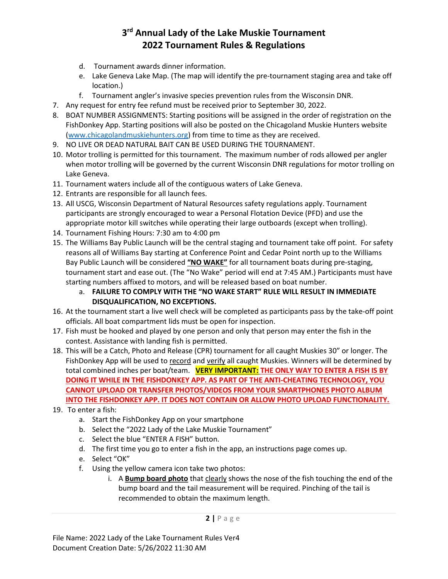# 3<sup>rd</sup> Annual Lady of the Lake Muskie Tournament 2022 Tournament Rules & Regulations

- d. Tournament awards dinner information.
- e. Lake Geneva Lake Map. (The map will identify the pre-tournament staging area and take off location.)
- f. Tournament angler's invasive species prevention rules from the Wisconsin DNR.
- 7. Any request for entry fee refund must be received prior to September 30, 2022.
- 8. BOAT NUMBER ASSIGNMENTS: Starting positions will be assigned in the order of registration on the FishDonkey App. Starting positions will also be posted on the Chicagoland Muskie Hunters website (www.chicagolandmuskiehunters.org) from time to time as they are received.
- 9. NO LIVE OR DEAD NATURAL BAIT CAN BE USED DURING THE TOURNAMENT.
- 10. Motor trolling is permitted for this tournament. The maximum number of rods allowed per angler when motor trolling will be governed by the current Wisconsin DNR regulations for motor trolling on Lake Geneva.
- 11. Tournament waters include all of the contiguous waters of Lake Geneva.
- 12. Entrants are responsible for all launch fees.
- 13. All USCG, Wisconsin Department of Natural Resources safety regulations apply. Tournament participants are strongly encouraged to wear a Personal Flotation Device (PFD) and use the appropriate motor kill switches while operating their large outboards (except when trolling).
- 14. Tournament Fishing Hours: 7:30 am to 4:00 pm
- 15. The Williams Bay Public Launch will be the central staging and tournament take off point. For safety reasons all of Williams Bay starting at Conference Point and Cedar Point north up to the Williams Bay Public Launch will be considered "NO WAKE" for all tournament boats during pre-staging, tournament start and ease out. (The "No Wake" period will end at 7:45 AM.) Participants must have starting numbers affixed to motors, and will be released based on boat number.
	- a. FAILURE TO COMPLY WITH THE "NO WAKE START" RULE WILL RESULT IN IMMEDIATE DISQUALIFICATION, NO EXCEPTIONS.
- 16. At the tournament start a live well check will be completed as participants pass by the take-off point officials. All boat compartment lids must be open for inspection.
- 17. Fish must be hooked and played by one person and only that person may enter the fish in the contest. Assistance with landing fish is permitted.
- 18. This will be a Catch, Photo and Release (CPR) tournament for all caught Muskies 30" or longer. The FishDonkey App will be used to record and verify all caught Muskies. Winners will be determined by total combined inches per boat/team. VERY IMPORTANT: THE ONLY WAY TO ENTER A FISH IS BY DOING IT WHILE IN THE FISHDONKEY APP. AS PART OF THE ANTI-CHEATING TECHNOLOGY, YOU CANNOT UPLOAD OR TRANSFER PHOTOS/VIDEOS FROM YOUR SMARTPHONES PHOTO ALBUM INTO THE FISHDONKEY APP. IT DOES NOT CONTAIN OR ALLOW PHOTO UPLOAD FUNCTIONALITY.
- 19. To enter a fish:
	- a. Start the FishDonkey App on your smartphone
	- b. Select the "2022 Lady of the Lake Muskie Tournament"
	- c. Select the blue "ENTER A FISH" button.
	- d. The first time you go to enter a fish in the app, an instructions page comes up.
	- e. Select "OK"
	- f. Using the yellow camera icon take two photos:
		- i. A Bump board photo that clearly shows the nose of the fish touching the end of the bump board and the tail measurement will be required. Pinching of the tail is recommended to obtain the maximum length.